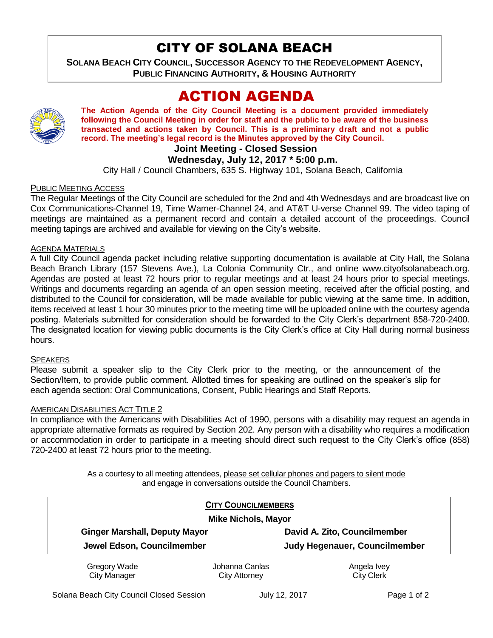# CITY OF SOLANA BEACH

**SOLANA BEACH CITY COUNCIL, SUCCESSOR AGENCY TO THE REDEVELOPMENT AGENCY, PUBLIC FINANCING AUTHORITY, & HOUSING AUTHORITY** 

# ACTION AGENDA



**The Action Agenda of the City Council Meeting is a document provided immediately following the Council Meeting in order for staff and the public to be aware of the business transacted and actions taken by Council. This is a preliminary draft and not a public record. The meeting's legal record is the Minutes approved by the City Council.**

## **Joint Meeting - Closed Session**

## **Wednesday, July 12, 2017 \* 5:00 p.m.**

City Hall / Council Chambers, 635 S. Highway 101, Solana Beach, California

#### PUBLIC MEETING ACCESS

The Regular Meetings of the City Council are scheduled for the 2nd and 4th Wednesdays and are broadcast live on Cox Communications-Channel 19, Time Warner-Channel 24, and AT&T U-verse Channel 99. The video taping of meetings are maintained as a permanent record and contain a detailed account of the proceedings. Council meeting tapings are archived and available for viewing on the City's website.

#### AGENDA MATERIALS

A full City Council agenda packet including relative supporting documentation is available at City Hall, the Solana Beach Branch Library (157 Stevens Ave.), La Colonia Community Ctr., and online www.cityofsolanabeach.org. Agendas are posted at least 72 hours prior to regular meetings and at least 24 hours prior to special meetings. Writings and documents regarding an agenda of an open session meeting, received after the official posting, and distributed to the Council for consideration, will be made available for public viewing at the same time. In addition, items received at least 1 hour 30 minutes prior to the meeting time will be uploaded online with the courtesy agenda posting. Materials submitted for consideration should be forwarded to the City Clerk's department 858-720-2400. The designated location for viewing public documents is the City Clerk's office at City Hall during normal business hours.

#### **SPEAKERS**

Please submit a speaker slip to the City Clerk prior to the meeting, or the announcement of the Section/Item, to provide public comment. Allotted times for speaking are outlined on the speaker's slip for each agenda section: Oral Communications, Consent, Public Hearings and Staff Reports.

#### AMERICAN DISABILITIES ACT TITLE 2

In compliance with the Americans with Disabilities Act of 1990, persons with a disability may request an agenda in appropriate alternative formats as required by Section 202. Any person with a disability who requires a modification or accommodation in order to participate in a meeting should direct such request to the City Clerk's office (858) 720-2400 at least 72 hours prior to the meeting.

> As a courtesy to all meeting attendees, please set cellular phones and pagers to silent mode and engage in conversations outside the Council Chambers.

| <b>CITY COUNCILMEMBERS</b><br><b>Mike Nichols, Mayor</b> |                      |                                      |
|----------------------------------------------------------|----------------------|--------------------------------------|
|                                                          |                      |                                      |
| Jewel Edson, Councilmember                               |                      | <b>Judy Hegenauer, Councilmember</b> |
| Gregory Wade                                             | Johanna Canlas       | Angela Ivey                          |
| <b>City Manager</b>                                      | <b>City Attorney</b> | <b>City Clerk</b>                    |